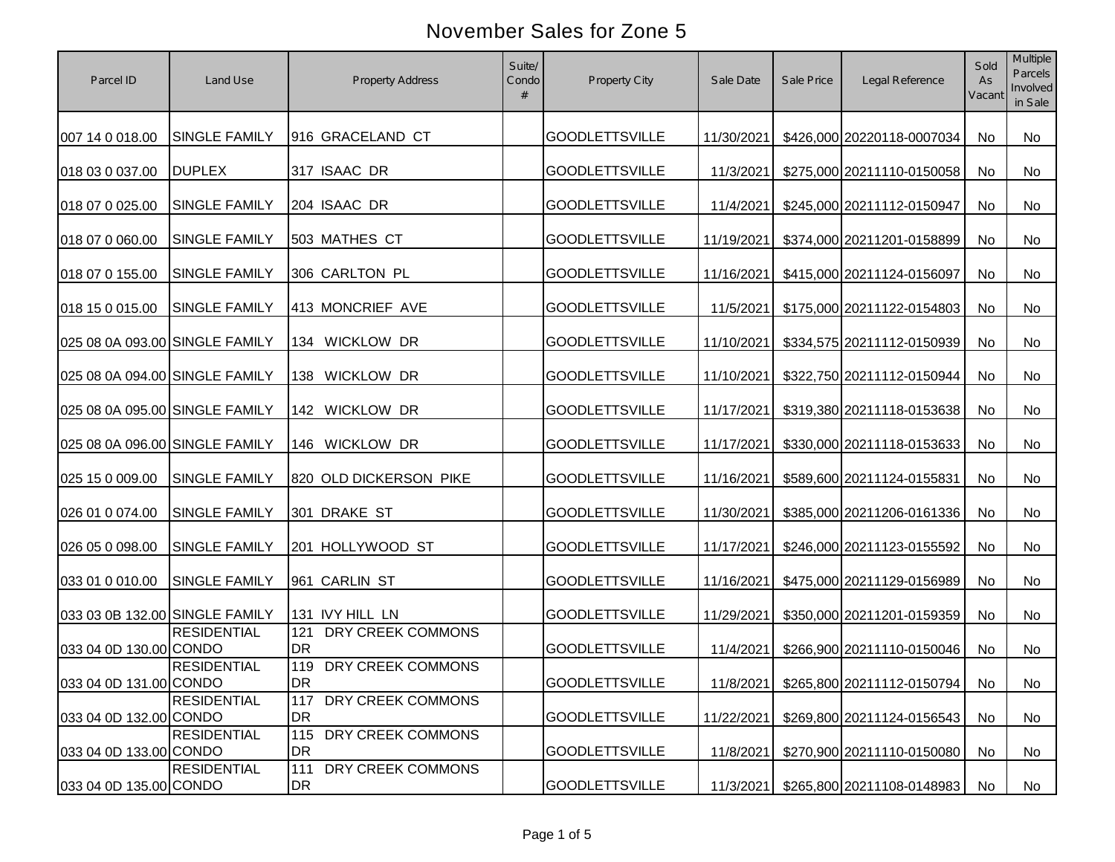| Parcel ID                      | Land Use             | <b>Property Address</b>            | Suite/<br>Condo | Property City         | Sale Date  | Sale Price | Legal Reference                         | Sold<br>As<br>Vacant | Multiple<br><b>Parcels</b><br>Involved<br>in Sale |
|--------------------------------|----------------------|------------------------------------|-----------------|-----------------------|------------|------------|-----------------------------------------|----------------------|---------------------------------------------------|
| 007 14 0 018.00                | <b>SINGLE FAMILY</b> | 916 GRACELAND CT                   |                 | <b>GOODLETTSVILLE</b> | 11/30/2021 |            | \$426,000 20220118-0007034              | No                   | No                                                |
| 018 03 0 037.00                | <b>DUPLEX</b>        | 317 ISAAC DR                       |                 | <b>GOODLETTSVILLE</b> | 11/3/2021  |            | \$275,000 20211110-0150058              | No                   | No                                                |
| 018 07 0 025.00                | <b>SINGLE FAMILY</b> | 204 ISAAC DR                       |                 | <b>GOODLETTSVILLE</b> | 11/4/2021  |            | \$245,000 20211112-0150947              | No                   | No                                                |
| 018 07 0 060.00                | <b>SINGLE FAMILY</b> | 503 MATHES CT                      |                 | <b>GOODLETTSVILLE</b> | 11/19/2021 |            | \$374,000 20211201-0158899              | No                   | No                                                |
| 018 07 0 155.00                | <b>SINGLE FAMILY</b> | 306 CARLTON PL                     |                 | <b>GOODLETTSVILLE</b> | 11/16/2021 |            | \$415,000 20211124-0156097              | No                   | No                                                |
| 018 15 0 015.00                | <b>SINGLE FAMILY</b> | 413 MONCRIEF AVE                   |                 | <b>GOODLETTSVILLE</b> | 11/5/2021  |            | \$175,000 20211122-0154803              | No                   | No                                                |
| 025 08 0A 093.00 SINGLE FAMILY |                      | 134 WICKLOW DR                     |                 | <b>GOODLETTSVILLE</b> | 11/10/2021 |            | \$334,575 20211112-0150939              | No                   | No                                                |
| 025 08 0A 094.00 SINGLE FAMILY |                      | <b>WICKLOW DR</b><br>138           |                 | <b>GOODLETTSVILLE</b> | 11/10/2021 |            | \$322,750 20211112-0150944              | No                   | No                                                |
| 025 08 0A 095.00 SINGLE FAMILY |                      | 142 WICKLOW DR                     |                 | <b>GOODLETTSVILLE</b> | 11/17/2021 |            | \$319,380 20211118-0153638              | No                   | No                                                |
| 025 08 0A 096.00 SINGLE FAMILY |                      | 146 WICKLOW DR                     |                 | <b>GOODLETTSVILLE</b> | 11/17/2021 |            | \$330,000 20211118-0153633              | No                   | No                                                |
| 025 15 0 009.00                | <b>SINGLE FAMILY</b> | 820 OLD DICKERSON PIKE             |                 | <b>GOODLETTSVILLE</b> | 11/16/2021 |            | \$589,600 20211124-0155831              | No                   | No                                                |
| 026 01 0 074.00                | <b>SINGLE FAMILY</b> | 301 DRAKE ST                       |                 | <b>GOODLETTSVILLE</b> | 11/30/2021 |            | \$385,000 20211206-0161336              | No                   | No                                                |
| 026 05 0 098.00                | <b>SINGLE FAMILY</b> | 201 HOLLYWOOD ST                   |                 | <b>GOODLETTSVILLE</b> | 11/17/2021 |            | \$246,000 20211123-0155592              | No                   | No                                                |
| 033 01 0 010.00                | <b>SINGLE FAMILY</b> | 961 CARLIN ST                      |                 | <b>GOODLETTSVILLE</b> | 11/16/2021 |            | \$475,000 20211129-0156989              | No                   | No                                                |
| 033 03 0B 132.00 SINGLE FAMILY |                      | 131 IVY HILL LN                    |                 | <b>GOODLETTSVILLE</b> | 11/29/2021 |            | \$350,000 20211201-0159359              | No                   | No                                                |
| 033 04 0D 130.00 CONDO         | <b>RESIDENTIAL</b>   | 121<br>DRY CREEK COMMONS<br>DR     |                 | <b>GOODLETTSVILLE</b> | 11/4/2021  |            | \$266,900 20211110-0150046              | No                   | No                                                |
| 033 04 0D 131.00 CONDO         | <b>RESIDENTIAL</b>   | 119 DRY CREEK COMMONS<br><b>DR</b> |                 | <b>GOODLETTSVILLE</b> |            |            | 11/8/2021 \$265,800 20211112-0150794 No |                      | No                                                |
| 033 04 0D 132.00 CONDO         | <b>RESIDENTIAL</b>   | 117<br>DRY CREEK COMMONS<br>DR     |                 | <b>GOODLETTSVILLE</b> | 11/22/2021 |            | \$269,800 20211124-0156543              | No                   | No                                                |
| 033 04 0D 133.00 CONDO         | <b>RESIDENTIAL</b>   | 115<br>DRY CREEK COMMONS<br>DR     |                 | <b>GOODLETTSVILLE</b> | 11/8/2021  |            | \$270,900 20211110-0150080              | No                   | No                                                |
| 033 04 0D 135.00 CONDO         | <b>RESIDENTIAL</b>   | 111<br>DRY CREEK COMMONS<br>DR     |                 | <b>GOODLETTSVILLE</b> | 11/3/2021  |            | \$265,800 20211108-0148983              | No                   | No                                                |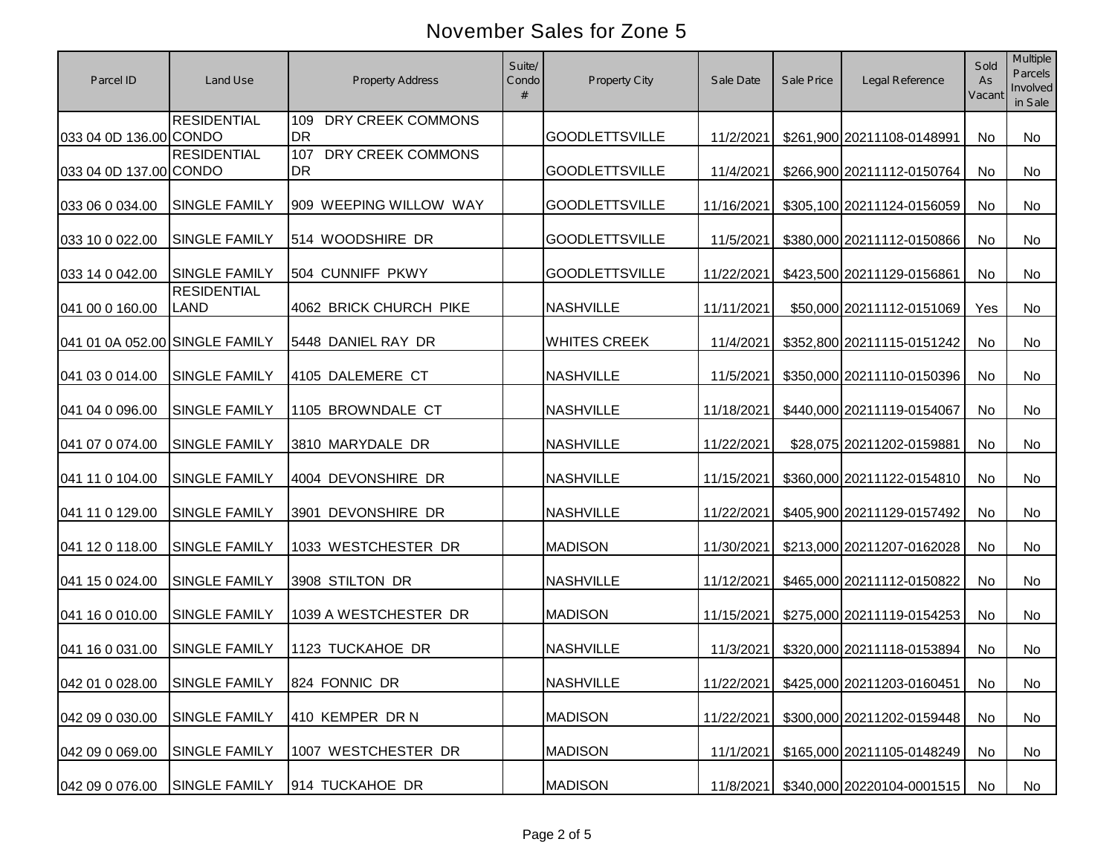|                                |                                   |                                | Suite/ |                       |            |            |                                       | Sold         | Multiple<br>Parcels |
|--------------------------------|-----------------------------------|--------------------------------|--------|-----------------------|------------|------------|---------------------------------------|--------------|---------------------|
| Parcel ID                      | Land Use                          | <b>Property Address</b>        | Condo  | Property City         | Sale Date  | Sale Price | Legal Reference                       | As<br>Vacant | Involved<br>in Sale |
|                                | <b>RESIDENTIAL</b>                | DRY CREEK COMMONS<br>109       |        |                       |            |            |                                       |              |                     |
| 033 04 0D 136.00 CONDO         |                                   | <b>DR</b>                      |        | <b>GOODLETTSVILLE</b> | 11/2/2021  |            | \$261,900 20211108-0148991            | No           | No                  |
| 033 04 0D 137.00 CONDO         | <b>RESIDENTIAL</b>                | DRY CREEK COMMONS<br>107<br>DR |        | <b>GOODLETTSVILLE</b> | 11/4/2021  |            | \$266,900 20211112-0150764            | No           | No                  |
| 033 06 0 034.00                | <b>SINGLE FAMILY</b>              | 909 WEEPING WILLOW WAY         |        | <b>GOODLETTSVILLE</b> | 11/16/2021 |            | \$305,100 20211124-0156059            | No           | No                  |
| 033 10 0 022.00                | <b>SINGLE FAMILY</b>              | 514 WOODSHIRE DR               |        | <b>GOODLETTSVILLE</b> | 11/5/2021  |            | \$380,000 20211112-0150866            | No           | No                  |
| 033 14 0 042.00                | <b>SINGLE FAMILY</b>              | 504 CUNNIFF PKWY               |        | <b>GOODLETTSVILLE</b> | 11/22/2021 |            | \$423,500 20211129-0156861            | No           | No                  |
| 041 00 0 160.00                | <b>RESIDENTIAL</b><br><b>LAND</b> | 4062 BRICK CHURCH PIKE         |        | <b>NASHVILLE</b>      | 11/11/2021 |            | \$50,000 20211112-0151069             | Yes          | No                  |
| 041 01 0A 052.00 SINGLE FAMILY |                                   | 5448 DANIEL RAY DR             |        | <b>WHITES CREEK</b>   | 11/4/2021  |            | \$352,800 20211115-0151242            | No           | No                  |
| 041 03 0 014.00                | <b>SINGLE FAMILY</b>              | 4105 DALEMERE CT               |        | <b>NASHVILLE</b>      | 11/5/2021  |            | \$350,000 20211110-0150396            | No           | No                  |
| 041 04 0 096.00                | <b>SINGLE FAMILY</b>              | 1105 BROWNDALE CT              |        | <b>NASHVILLE</b>      | 11/18/2021 |            | \$440,000 20211119-0154067            | No           | No                  |
| 041 07 0 074.00                | <b>SINGLE FAMILY</b>              | 3810 MARYDALE DR               |        | <b>NASHVILLE</b>      | 11/22/2021 |            | \$28,075 20211202-0159881             | No           | No                  |
| 041 11 0 104.00                | <b>SINGLE FAMILY</b>              | 4004 DEVONSHIRE DR             |        | <b>NASHVILLE</b>      | 11/15/2021 |            | \$360,000 20211122-0154810            | No           | No                  |
|                                |                                   |                                |        |                       |            |            |                                       |              |                     |
| 041 11 0 129.00                | <b>SINGLE FAMILY</b>              | 3901 DEVONSHIRE DR             |        | <b>NASHVILLE</b>      | 11/22/2021 |            | \$405,900 20211129-0157492            | No           | No                  |
| 041 12 0 118.00                | <b>SINGLE FAMILY</b>              | 1033 WESTCHESTER DR            |        | <b>MADISON</b>        | 11/30/2021 |            | \$213,000 20211207-0162028            | No           | No                  |
| 041 15 0 024.00                | <b>SINGLE FAMILY</b>              | 3908 STILTON DR                |        | <b>NASHVILLE</b>      | 11/12/2021 |            | \$465,000 20211112-0150822            | No           | No                  |
| 041 16 0 010.00                | <b>SINGLE FAMILY</b>              | 1039 A WESTCHESTER DR          |        | <b>MADISON</b>        | 11/15/2021 |            | \$275,000 20211119-0154253            | No           | No                  |
| 041 16 0 031.00                | <b>SINGLE FAMILY</b>              | 1123 TUCKAHOE DR               |        | <b>NASHVILLE</b>      | 11/3/2021  |            | \$320,000 20211118-0153894            | <b>No</b>    | No                  |
|                                | 042 01 0 028.00 SINGLE FAMILY     | 824 FONNIC DR                  |        | NASHVILLE             |            |            | 11/22/2021 \$425,000 20211203-0160451 | No           | No                  |
| 042 09 0 030.00                | <b>SINGLE FAMILY</b>              | 410 KEMPER DR N                |        | <b>MADISON</b>        | 11/22/2021 |            | \$300,000 20211202-0159448            | No           | No                  |
| 042 09 0 069.00                | <b>SINGLE FAMILY</b>              | 1007 WESTCHESTER DR            |        | <b>MADISON</b>        | 11/1/2021  |            | \$165,000 20211105-0148249            | No           | No                  |
| 042 09 0 076.00                | <b>SINGLE FAMILY</b>              | 914 TUCKAHOE DR                |        | <b>MADISON</b>        | 11/8/2021  |            | \$340,000 20220104-0001515            | No           | No                  |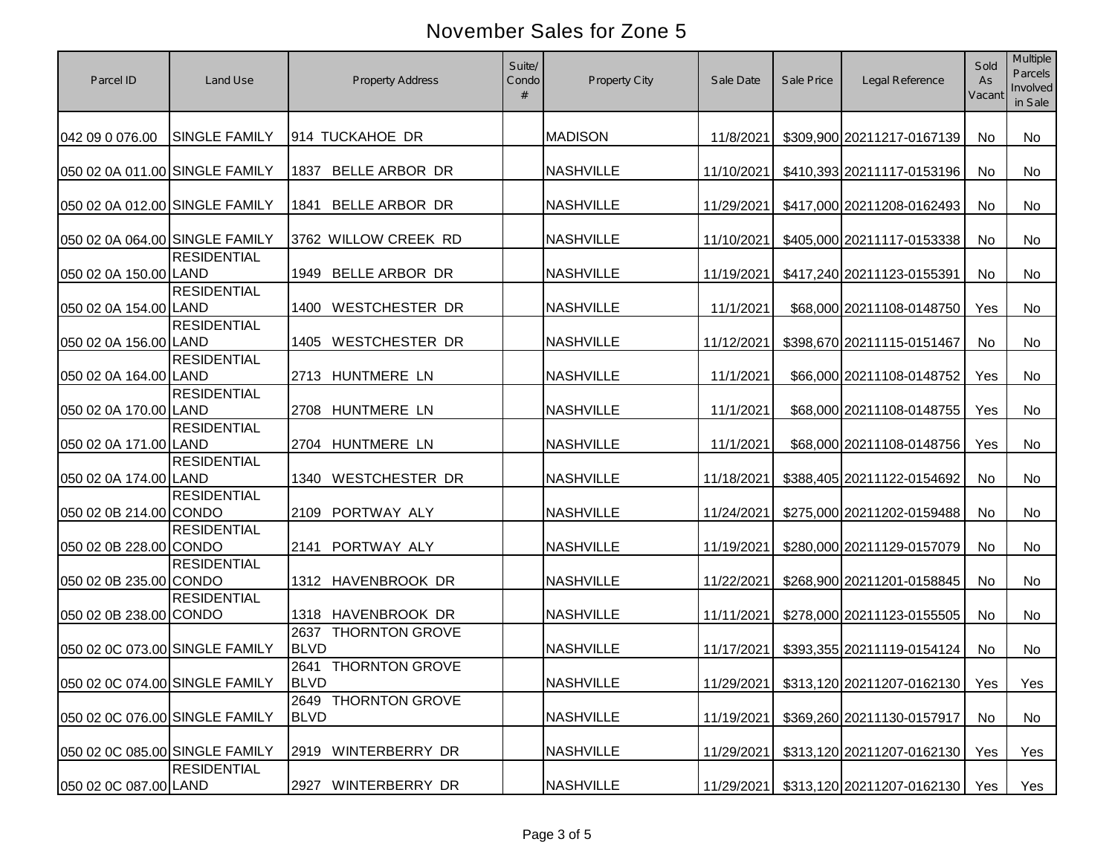| Parcel ID                      | Land Use             | <b>Property Address</b>                      | Suite/<br>Condo | Property City    | Sale Date  | Sale Price | Legal Reference                           | Sold<br>As<br>Vacant | Multiple<br>Parcels<br>Involved<br>in Sale |
|--------------------------------|----------------------|----------------------------------------------|-----------------|------------------|------------|------------|-------------------------------------------|----------------------|--------------------------------------------|
| 042 09 0 076.00                | <b>SINGLE FAMILY</b> | 914 TUCKAHOE DR                              |                 | <b>MADISON</b>   | 11/8/2021  |            | \$309,900 20211217-0167139                | No                   | <b>No</b>                                  |
| 050 02 0A 011.00 SINGLE FAMILY |                      | BELLE ARBOR DR<br>1837                       |                 | <b>NASHVILLE</b> | 11/10/2021 |            | \$410,393 20211117-0153196                | No                   | <b>No</b>                                  |
| 050 02 0A 012.00 SINGLE FAMILY |                      | <b>BELLE ARBOR DR</b><br>1841                |                 | <b>NASHVILLE</b> | 11/29/2021 |            | \$417,000 20211208-0162493                | <b>No</b>            | No                                         |
| 050 02 0A 064.00 SINGLE FAMILY |                      | 3762 WILLOW CREEK RD                         |                 | <b>NASHVILLE</b> | 11/10/2021 |            | \$405,000 20211117-0153338                | <b>No</b>            | <b>No</b>                                  |
| 050 02 0A 150.00 LAND          | <b>RESIDENTIAL</b>   | 1949 BELLE ARBOR DR                          |                 | <b>NASHVILLE</b> | 11/19/2021 |            | \$417,240 20211123-0155391                | No                   | No                                         |
| 050 02 0A 154.00 LAND          | <b>RESIDENTIAL</b>   | <b>WESTCHESTER DR</b><br>1400                |                 | <b>NASHVILLE</b> | 11/1/2021  |            | \$68,000 20211108-0148750                 | Yes                  | <b>No</b>                                  |
| 050 02 0A 156.00 LAND          | <b>RESIDENTIAL</b>   | <b>WESTCHESTER DR</b><br>1405                |                 | <b>NASHVILLE</b> | 11/12/2021 |            | \$398,670 20211115-0151467                | No                   | No                                         |
| 050 02 0A 164.00 LAND          | <b>RESIDENTIAL</b>   | 2713 HUNTMERE LN                             |                 | <b>NASHVILLE</b> | 11/1/2021  |            | \$66,000 20211108-0148752                 | Yes                  | No                                         |
| 050 02 0A 170.00 LAND          | <b>RESIDENTIAL</b>   | <b>HUNTMERE LN</b><br>2708                   |                 | <b>NASHVILLE</b> | 11/1/2021  |            | \$68,000 20211108-0148755                 | Yes                  | No                                         |
| 050 02 0A 171.00 LAND          | <b>RESIDENTIAL</b>   | 2704 HUNTMERE LN                             |                 | <b>NASHVILLE</b> | 11/1/2021  |            | \$68,000 20211108-0148756                 | Yes                  | No                                         |
| 050 02 0A 174.00 LAND          | <b>RESIDENTIAL</b>   | <b>WESTCHESTER DR</b><br>1340                |                 | <b>NASHVILLE</b> | 11/18/2021 |            | \$388,405 20211122-0154692                | <b>No</b>            | No                                         |
| 050 02 0B 214.00 CONDO         | <b>RESIDENTIAL</b>   | 2109 PORTWAY ALY                             |                 | <b>NASHVILLE</b> | 11/24/2021 |            | \$275,000 20211202-0159488                | <b>No</b>            | <b>No</b>                                  |
| 050 02 0B 228.00 CONDO         | <b>RESIDENTIAL</b>   | 2141 PORTWAY ALY                             |                 | <b>NASHVILLE</b> | 11/19/2021 |            | \$280,000 20211129-0157079                | <b>No</b>            | <b>No</b>                                  |
| 050 02 0B 235.00 CONDO         | <b>RESIDENTIAL</b>   | 1312 HAVENBROOK DR                           |                 | <b>NASHVILLE</b> | 11/22/2021 |            | \$268,900 20211201-0158845                | <b>No</b>            | <b>No</b>                                  |
| 050 02 0B 238.00 CONDO         | <b>RESIDENTIAL</b>   | 1318 HAVENBROOK DR                           |                 | <b>NASHVILLE</b> | 11/11/2021 |            | \$278,000 20211123-0155505                | <b>No</b>            | <b>No</b>                                  |
| 050 02 0C 073.00 SINGLE FAMILY |                      | 2637<br><b>THORNTON GROVE</b><br><b>BLVD</b> |                 | <b>NASHVILLE</b> | 11/17/2021 |            | \$393,355 20211119-0154124                | <b>No</b>            | <b>No</b>                                  |
| 050 02 0C 074.00 SINGLE FAMILY |                      | 2641 THORNTON GROVE<br><b>BLVD</b>           |                 | <b>NASHVILLE</b> |            |            | 11/29/2021 \$313,120 20211207-0162130 Yes |                      | Yes                                        |
| 050 02 0C 076.00 SINGLE FAMILY |                      | 2649 THORNTON GROVE<br><b>BLVD</b>           |                 | <b>NASHVILLE</b> | 11/19/2021 |            | \$369,260 20211130-0157917                | No                   | No                                         |
| 050 02 0C 085.00 SINGLE FAMILY |                      | 2919 WINTERBERRY DR                          |                 | <b>NASHVILLE</b> | 11/29/2021 |            | \$313,120 20211207-0162130                | Yes                  | Yes                                        |
| 050 02 0C 087.00 LAND          | <b>RESIDENTIAL</b>   | 2927<br>WINTERBERRY DR                       |                 | <b>NASHVILLE</b> | 11/29/2021 |            | \$313,120 20211207-0162130   Yes          |                      | Yes                                        |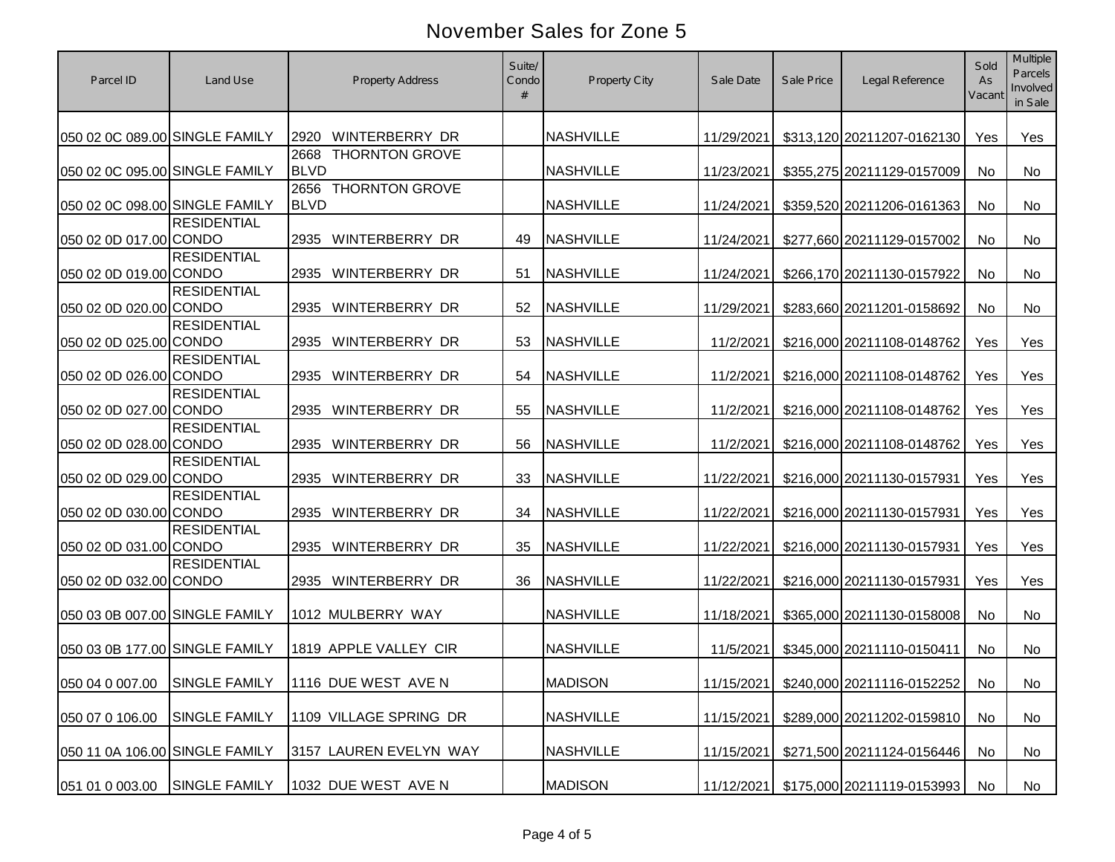| Parcel ID                      | Land Use                      | <b>Property Address</b>                      | Suite/<br>Condo | <b>Property City</b> | Sale Date  | Sale Price | Legal Reference            | Sold<br>As<br>Vacant | Multiple<br>Parcels<br>Involved<br>in Sale |
|--------------------------------|-------------------------------|----------------------------------------------|-----------------|----------------------|------------|------------|----------------------------|----------------------|--------------------------------------------|
| 050 02 0C 089.00 SINGLE FAMILY |                               | WINTERBERRY DR<br>2920                       |                 | <b>NASHVILLE</b>     | 11/29/2021 |            | \$313,120 20211207-0162130 | Yes                  | Yes                                        |
| 050 02 0C 095.00 SINGLE FAMILY |                               | <b>THORNTON GROVE</b><br>2668<br><b>BLVD</b> |                 | <b>NASHVILLE</b>     | 11/23/2021 |            | \$355,275 20211129-0157009 | No                   | No                                         |
| 050 02 0C 098.00 SINGLE FAMILY |                               | <b>THORNTON GROVE</b><br>2656<br><b>BLVD</b> |                 | <b>NASHVILLE</b>     | 11/24/2021 |            | \$359,520 20211206-0161363 | No                   | No                                         |
| 050 02 0D 017.00 CONDO         | <b>RESIDENTIAL</b>            | WINTERBERRY DR<br>2935                       | 49              | <b>NASHVILLE</b>     | 11/24/2021 |            | \$277,660 20211129-0157002 | No                   | No                                         |
| 050 02 0D 019.00 CONDO         | <b>RESIDENTIAL</b>            | WINTERBERRY DR<br>2935                       | 51              | <b>NASHVILLE</b>     | 11/24/2021 |            | \$266,170 20211130-0157922 | No                   | No                                         |
| 050 02 0D 020.00 CONDO         | <b>RESIDENTIAL</b>            | <b>WINTERBERRY DR</b><br>2935                | 52              | <b>NASHVILLE</b>     | 11/29/2021 |            | \$283,660 20211201-0158692 | No                   | No                                         |
| 050 02 0D 025.00 CONDO         | <b>RESIDENTIAL</b>            | WINTERBERRY DR<br>2935                       | 53              | <b>NASHVILLE</b>     | 11/2/2021  |            | \$216,000 20211108-0148762 | Yes                  | Yes                                        |
| 050 02 0D 026.00 CONDO         | <b>RESIDENTIAL</b>            | WINTERBERRY DR<br>2935                       | 54              | <b>NASHVILLE</b>     | 11/2/2021  |            | \$216,000 20211108-0148762 | Yes                  | Yes                                        |
| 050 02 0D 027.00 CONDO         | <b>RESIDENTIAL</b>            | WINTERBERRY DR<br>2935                       | 55              | <b>NASHVILLE</b>     | 11/2/2021  |            | \$216,000 20211108-0148762 | Yes                  | Yes                                        |
| 050 02 0D 028.00 CONDO         | <b>RESIDENTIAL</b>            | WINTERBERRY DR<br>2935                       | 56              | <b>NASHVILLE</b>     | 11/2/2021  |            | \$216,000 20211108-0148762 | Yes                  | Yes                                        |
| 050 02 0D 029.00 CONDO         | <b>RESIDENTIAL</b>            | WINTERBERRY DR<br>2935                       | 33              | <b>NASHVILLE</b>     | 11/22/2021 |            | \$216,000 20211130-0157931 | Yes                  | Yes                                        |
| 050 02 0D 030.00 CONDO         | <b>RESIDENTIAL</b>            | 2935 WINTERBERRY DR                          | 34              | <b>NASHVILLE</b>     | 11/22/2021 |            | \$216,000 20211130-0157931 | Yes                  | Yes                                        |
| 050 02 0D 031.00 CONDO         | <b>RESIDENTIAL</b>            | 2935 WINTERBERRY DR                          | 35              | <b>NASHVILLE</b>     | 11/22/2021 |            | \$216,000 20211130-0157931 | Yes                  | Yes                                        |
| 050 02 0D 032.00 CONDO         | <b>RESIDENTIAL</b>            | 2935 WINTERBERRY DR                          | 36              | <b>NASHVILLE</b>     | 11/22/2021 |            | \$216,000 20211130-0157931 | Yes                  | Yes                                        |
| 050 03 0B 007.00 SINGLE FAMILY |                               | 1012 MULBERRY WAY                            |                 | <b>NASHVILLE</b>     | 11/18/2021 |            | \$365,000 20211130-0158008 | No                   | No                                         |
| 050 03 0B 177.00 SINGLE FAMILY |                               | 1819 APPLE VALLEY CIR                        |                 | <b>NASHVILLE</b>     | 11/5/2021  |            | \$345,000 20211110-0150411 | <b>No</b>            | No                                         |
|                                | 050 04 0 007.00 SINGLE FAMILY | 1116 DUE WEST AVE N                          |                 | <b>MADISON</b>       | 11/15/2021 |            | \$240,000 20211116-0152252 | No                   | No                                         |
| 050 07 0 106.00                | <b>SINGLE FAMILY</b>          | 1109 VILLAGE SPRING DR                       |                 | <b>NASHVILLE</b>     | 11/15/2021 |            | \$289,000 20211202-0159810 | No                   | No                                         |
| 050 11 0A 106.00 SINGLE FAMILY |                               | 3157 LAUREN EVELYN WAY                       |                 | <b>NASHVILLE</b>     | 11/15/2021 |            | \$271,500 20211124-0156446 | No                   | No                                         |
| 051 01 0 003.00                | <b>SINGLE FAMILY</b>          | 1032 DUE WEST AVE N                          |                 | <b>MADISON</b>       | 11/12/2021 |            | \$175,000 20211119-0153993 | No                   | No                                         |